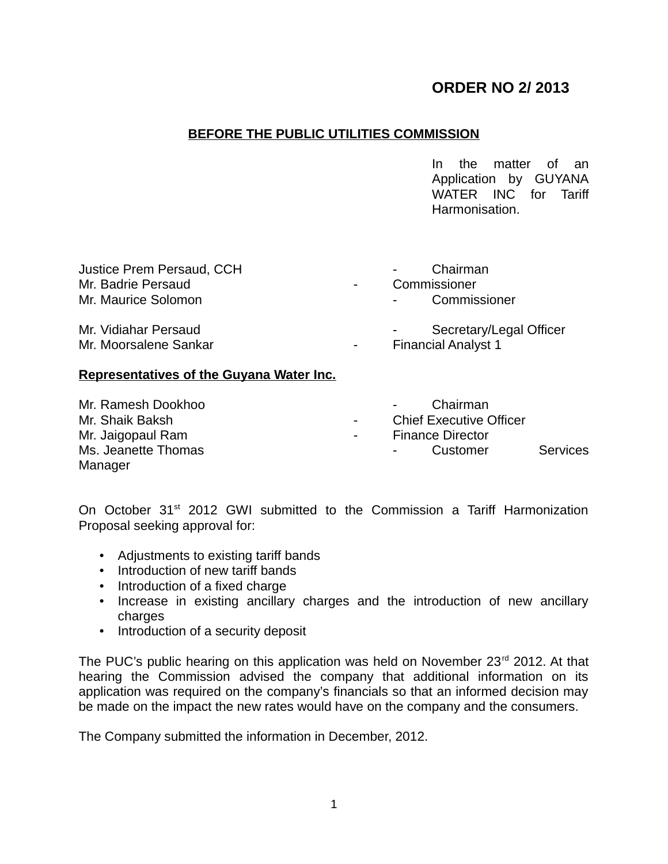# **ORDER NO 2/ 2013**

## **BEFORE THE PUBLIC UTILITIES COMMISSION**

In the matter of an Application by GUYANA WATER INC for Tariff Harmonisation.

| Justice Prem Persaud, CCH                     | Chairman                                                                |
|-----------------------------------------------|-------------------------------------------------------------------------|
| Mr. Badrie Persaud                            | Commissioner<br>$\blacksquare$                                          |
| Mr. Maurice Solomon                           | Commissioner<br>$\sim 100$                                              |
| Mr. Vidiahar Persaud<br>Mr. Moorsalene Sankar | Secretary/Legal Officer<br><b>Financial Analyst 1</b><br>$\blacksquare$ |

### **Representatives of the Guyana Water Inc.**

| Mr. Ramesh Dookhoo  |            | Chairman                       |                 |
|---------------------|------------|--------------------------------|-----------------|
| Mr. Shaik Baksh     | $\sim 100$ | <b>Chief Executive Officer</b> |                 |
| Mr. Jaigopaul Ram   | $\sim$     | <b>Finance Director</b>        |                 |
| Ms. Jeanette Thomas |            | Customer                       | <b>Services</b> |
| Manager             |            |                                |                 |

On October 31<sup>st</sup> 2012 GWI submitted to the Commission a Tariff Harmonization Proposal seeking approval for:

- Adjustments to existing tariff bands
- Introduction of new tariff bands
- Introduction of a fixed charge
- Increase in existing ancillary charges and the introduction of new ancillary charges
- Introduction of a security deposit

The PUC's public hearing on this application was held on November 23<sup>rd</sup> 2012. At that hearing the Commission advised the company that additional information on its application was required on the company's financials so that an informed decision may be made on the impact the new rates would have on the company and the consumers.

The Company submitted the information in December, 2012.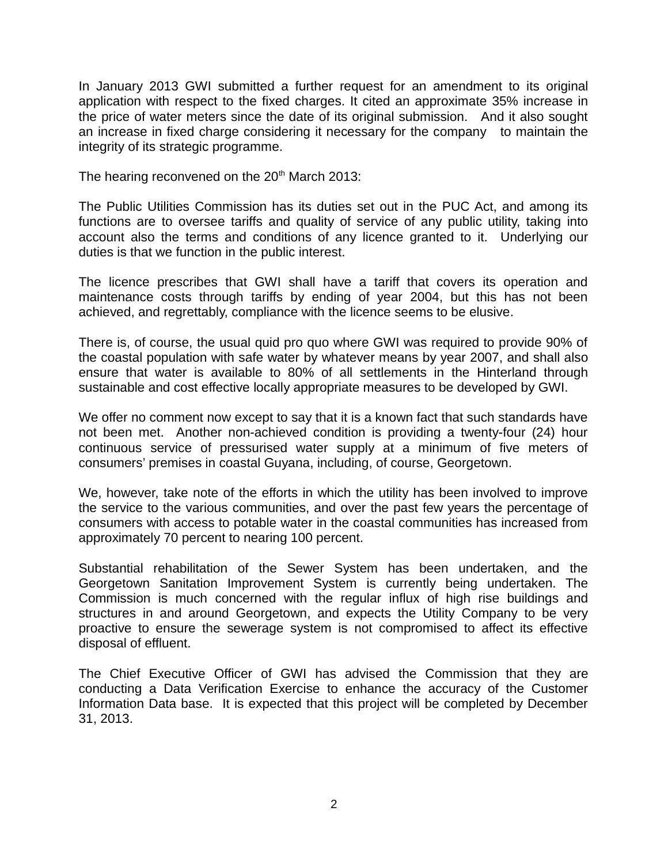In January 2013 GWI submitted a further request for an amendment to its original application with respect to the fixed charges. It cited an approximate 35% increase in the price of water meters since the date of its original submission. And it also sought an increase in fixed charge considering it necessary for the company to maintain the integrity of its strategic programme.

The hearing reconvened on the 20<sup>th</sup> March 2013:

The Public Utilities Commission has its duties set out in the PUC Act, and among its functions are to oversee tariffs and quality of service of any public utility, taking into account also the terms and conditions of any licence granted to it. Underlying our duties is that we function in the public interest.

The licence prescribes that GWI shall have a tariff that covers its operation and maintenance costs through tariffs by ending of year 2004, but this has not been achieved, and regrettably, compliance with the licence seems to be elusive.

There is, of course, the usual quid pro quo where GWI was required to provide 90% of the coastal population with safe water by whatever means by year 2007, and shall also ensure that water is available to 80% of all settlements in the Hinterland through sustainable and cost effective locally appropriate measures to be developed by GWI.

We offer no comment now except to say that it is a known fact that such standards have not been met. Another non-achieved condition is providing a twenty-four (24) hour continuous service of pressurised water supply at a minimum of five meters of consumers' premises in coastal Guyana, including, of course, Georgetown.

We, however, take note of the efforts in which the utility has been involved to improve the service to the various communities, and over the past few years the percentage of consumers with access to potable water in the coastal communities has increased from approximately 70 percent to nearing 100 percent.

Substantial rehabilitation of the Sewer System has been undertaken, and the Georgetown Sanitation Improvement System is currently being undertaken. The Commission is much concerned with the regular influx of high rise buildings and structures in and around Georgetown, and expects the Utility Company to be very proactive to ensure the sewerage system is not compromised to affect its effective disposal of effluent.

The Chief Executive Officer of GWI has advised the Commission that they are conducting a Data Verification Exercise to enhance the accuracy of the Customer Information Data base. It is expected that this project will be completed by December 31, 2013.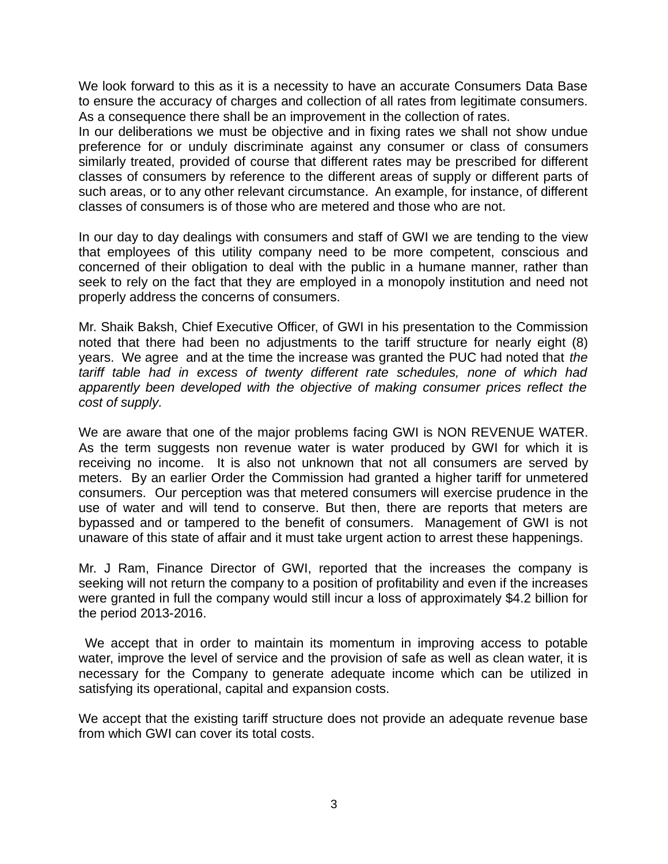We look forward to this as it is a necessity to have an accurate Consumers Data Base to ensure the accuracy of charges and collection of all rates from legitimate consumers. As a consequence there shall be an improvement in the collection of rates.

In our deliberations we must be objective and in fixing rates we shall not show undue preference for or unduly discriminate against any consumer or class of consumers similarly treated, provided of course that different rates may be prescribed for different classes of consumers by reference to the different areas of supply or different parts of such areas, or to any other relevant circumstance. An example, for instance, of different classes of consumers is of those who are metered and those who are not.

In our day to day dealings with consumers and staff of GWI we are tending to the view that employees of this utility company need to be more competent, conscious and concerned of their obligation to deal with the public in a humane manner, rather than seek to rely on the fact that they are employed in a monopoly institution and need not properly address the concerns of consumers.

Mr. Shaik Baksh, Chief Executive Officer, of GWI in his presentation to the Commission noted that there had been no adjustments to the tariff structure for nearly eight (8) years. We agree and at the time the increase was granted the PUC had noted that *the tariff table had in excess of twenty different rate schedules, none of which had apparently been developed with the objective of making consumer prices reflect the cost of supply.* 

We are aware that one of the major problems facing GWI is NON REVENUE WATER. As the term suggests non revenue water is water produced by GWI for which it is receiving no income. It is also not unknown that not all consumers are served by meters. By an earlier Order the Commission had granted a higher tariff for unmetered consumers. Our perception was that metered consumers will exercise prudence in the use of water and will tend to conserve. But then, there are reports that meters are bypassed and or tampered to the benefit of consumers. Management of GWI is not unaware of this state of affair and it must take urgent action to arrest these happenings.

Mr. J Ram, Finance Director of GWI, reported that the increases the company is seeking will not return the company to a position of profitability and even if the increases were granted in full the company would still incur a loss of approximately \$4.2 billion for the period 2013-2016.

 We accept that in order to maintain its momentum in improving access to potable water, improve the level of service and the provision of safe as well as clean water, it is necessary for the Company to generate adequate income which can be utilized in satisfying its operational, capital and expansion costs.

We accept that the existing tariff structure does not provide an adequate revenue base from which GWI can cover its total costs.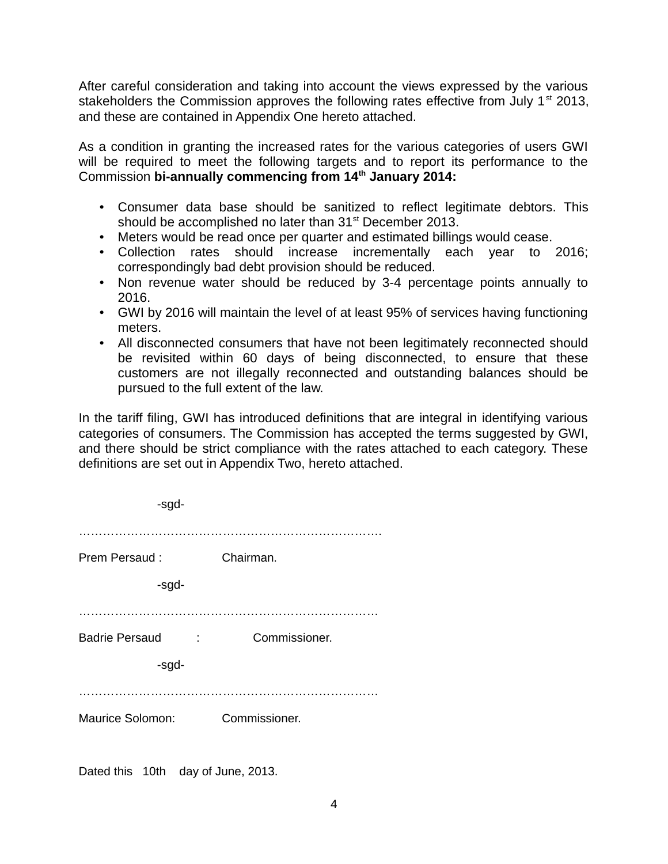After careful consideration and taking into account the views expressed by the various stakeholders the Commission approves the following rates effective from July  $1<sup>st</sup>$  2013, and these are contained in Appendix One hereto attached.

As a condition in granting the increased rates for the various categories of users GWI will be required to meet the following targets and to report its performance to the Commission **bi-annually commencing from 14th January 2014:**

- Consumer data base should be sanitized to reflect legitimate debtors. This should be accomplished no later than  $31<sup>st</sup>$  December 2013.
- Meters would be read once per quarter and estimated billings would cease.
- Collection rates should increase incrementally each year to 2016; correspondingly bad debt provision should be reduced.
- Non revenue water should be reduced by 3-4 percentage points annually to 2016.
- GWI by 2016 will maintain the level of at least 95% of services having functioning meters.
- All disconnected consumers that have not been legitimately reconnected should be revisited within 60 days of being disconnected, to ensure that these customers are not illegally reconnected and outstanding balances should be pursued to the full extent of the law.

In the tariff filing, GWI has introduced definitions that are integral in identifying various categories of consumers. The Commission has accepted the terms suggested by GWI, and there should be strict compliance with the rates attached to each category. These definitions are set out in Appendix Two, hereto attached.

| -sgd-                   |                                           |
|-------------------------|-------------------------------------------|
|                         |                                           |
| Prem Persaud:           | Chairman.                                 |
| -sgd-                   |                                           |
| <b>Badrie Persaud</b>   | Commissioner.<br><b>Contract Contract</b> |
| -sgd-                   |                                           |
|                         |                                           |
| <b>Maurice Solomon:</b> | Commissioner.                             |
|                         |                                           |

Dated this 10th day of June, 2013.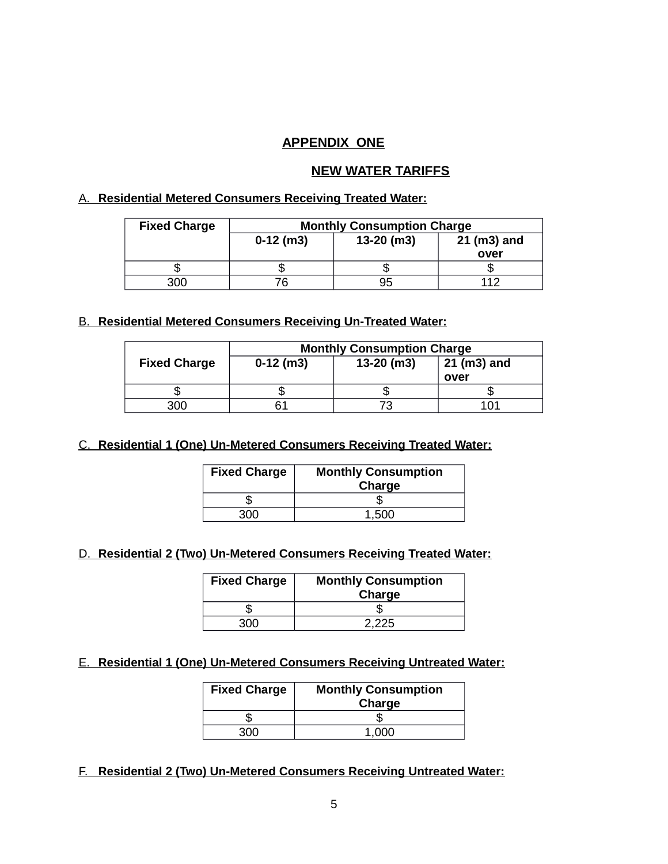### **APPENDIX ONE**

#### **NEW WATER TARIFFS**

### A. **Residential Metered Consumers Receiving Treated Water:**

| <b>Fixed Charge</b> | <b>Monthly Consumption Charge</b>          |    |      |
|---------------------|--------------------------------------------|----|------|
|                     | $13-20$ (m3)<br>21 (m3) and<br>$0-12$ (m3) |    |      |
|                     |                                            |    | over |
|                     |                                            |    |      |
| 300.                |                                            | 95 |      |

### B. **Residential Metered Consumers Receiving Un-Treated Water:**

|                     | <b>Monthly Consumption Charge</b>          |  |      |  |
|---------------------|--------------------------------------------|--|------|--|
| <b>Fixed Charge</b> | $13-20$ (m3)<br>21 (m3) and<br>$0-12$ (m3) |  |      |  |
|                     |                                            |  | over |  |
|                     |                                            |  |      |  |
| 300                 |                                            |  |      |  |

## C. **Residential 1 (One) Un-Metered Consumers Receiving Treated Water:**

| <b>Fixed Charge</b> | <b>Monthly Consumption</b><br>Charge |  |
|---------------------|--------------------------------------|--|
|                     |                                      |  |
|                     |                                      |  |

## D. **Residential 2 (Two) Un-Metered Consumers Receiving Treated Water:**

| <b>Fixed Charge</b> | <b>Monthly Consumption</b><br>Charge |
|---------------------|--------------------------------------|
|                     |                                      |
|                     | 2.225                                |

## E. **Residential 1 (One) Un-Metered Consumers Receiving Untreated Water:**

| <b>Fixed Charge</b> | <b>Monthly Consumption</b><br>Charge |  |
|---------------------|--------------------------------------|--|
|                     |                                      |  |
|                     | 1 000                                |  |

## F. **Residential 2 (Two) Un-Metered Consumers Receiving Untreated Water:**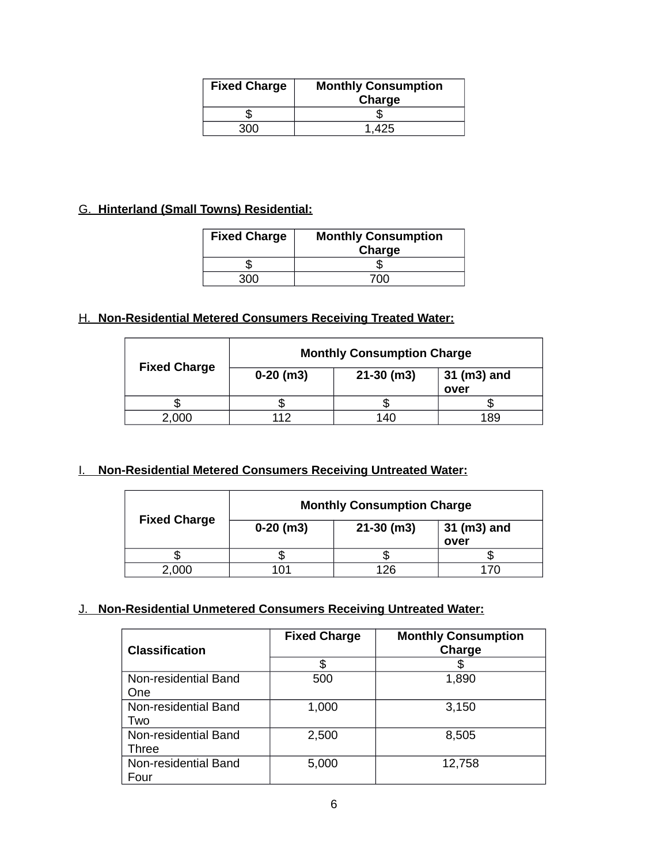| <b>Fixed Charge</b> | <b>Monthly Consumption</b><br>Charge |  |
|---------------------|--------------------------------------|--|
|                     |                                      |  |
|                     |                                      |  |

## G. **Hinterland (Small Towns) Residential:**

| <b>Fixed Charge</b> | <b>Monthly Consumption</b><br>Charge |  |
|---------------------|--------------------------------------|--|
|                     |                                      |  |
|                     |                                      |  |

## H. **Non-Residential Metered Consumers Receiving Treated Water:**

|                     | <b>Monthly Consumption Charge</b> |              |                     |
|---------------------|-----------------------------------|--------------|---------------------|
| <b>Fixed Charge</b> | $0-20$ (m3)                       | $21-30$ (m3) | 31 (m3) and<br>over |
|                     |                                   |              |                     |
| .000                |                                   | 140          | 189                 |

## I. **Non-Residential Metered Consumers Receiving Untreated Water:**

|                     | <b>Monthly Consumption Charge</b> |              |                     |
|---------------------|-----------------------------------|--------------|---------------------|
| <b>Fixed Charge</b> | $0-20$ (m3)                       | $21-30$ (m3) | 31 (m3) and<br>over |
|                     |                                   |              |                     |
| 2,000               |                                   | 126          |                     |

## J. **Non-Residential Unmetered Consumers Receiving Untreated Water:**

| <b>Classification</b>              | <b>Fixed Charge</b> | <b>Monthly Consumption</b><br>Charge |
|------------------------------------|---------------------|--------------------------------------|
|                                    | \$                  | \$                                   |
| Non-residential Band<br><b>One</b> | 500                 | 1,890                                |
|                                    |                     |                                      |
| Non-residential Band<br>Two        | 1,000               | 3,150                                |
| Non-residential Band<br>Three      | 2,500               | 8,505                                |
| Non-residential Band<br>Four       | 5,000               | 12,758                               |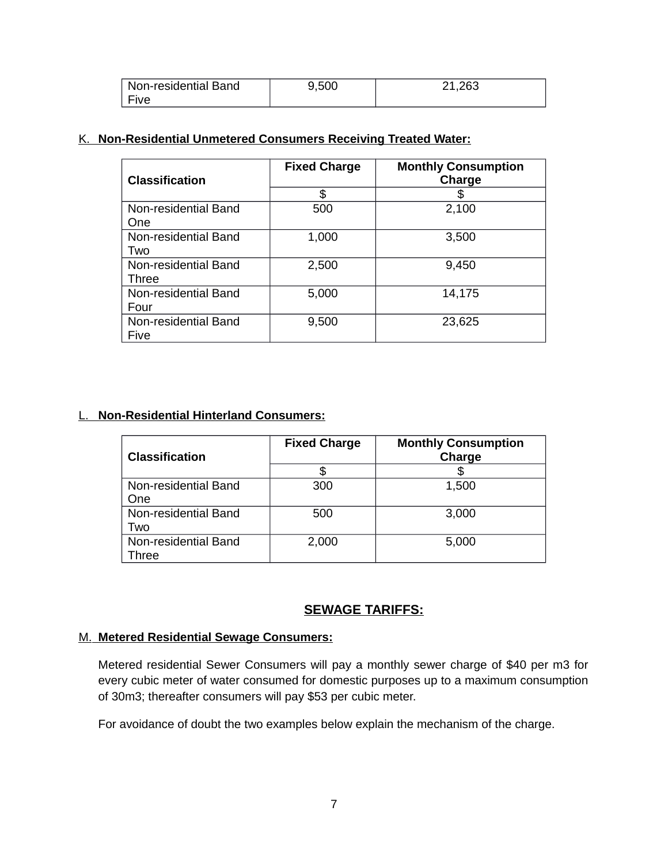| Non-residential Band | 9,500 | 21,263 |
|----------------------|-------|--------|
| Five                 |       |        |

### K. **Non-Residential Unmetered Consumers Receiving Treated Water:**

| <b>Classification</b>         | <b>Fixed Charge</b> | <b>Monthly Consumption</b><br>Charge |
|-------------------------------|---------------------|--------------------------------------|
|                               | \$                  |                                      |
| Non-residential Band<br>One   | 500                 | 2,100                                |
| Non-residential Band<br>Two   | 1,000               | 3,500                                |
| Non-residential Band<br>Three | 2,500               | 9,450                                |
| Non-residential Band<br>Four  | 5,000               | 14,175                               |
| Non-residential Band<br>Five  | 9,500               | 23,625                               |

### L. **Non-Residential Hinterland Consumers:**

| <b>Classification</b>         | <b>Fixed Charge</b> | <b>Monthly Consumption</b><br>Charge |
|-------------------------------|---------------------|--------------------------------------|
|                               |                     |                                      |
| Non-residential Band<br>One   | 300                 | 1,500                                |
| Non-residential Band<br>Two   | 500                 | 3,000                                |
| Non-residential Band<br>Three | 2,000               | 5,000                                |

## **SEWAGE TARIFFS:**

#### M. **Metered Residential Sewage Consumers:**

Metered residential Sewer Consumers will pay a monthly sewer charge of \$40 per m3 for every cubic meter of water consumed for domestic purposes up to a maximum consumption of 30m3; thereafter consumers will pay \$53 per cubic meter.

For avoidance of doubt the two examples below explain the mechanism of the charge.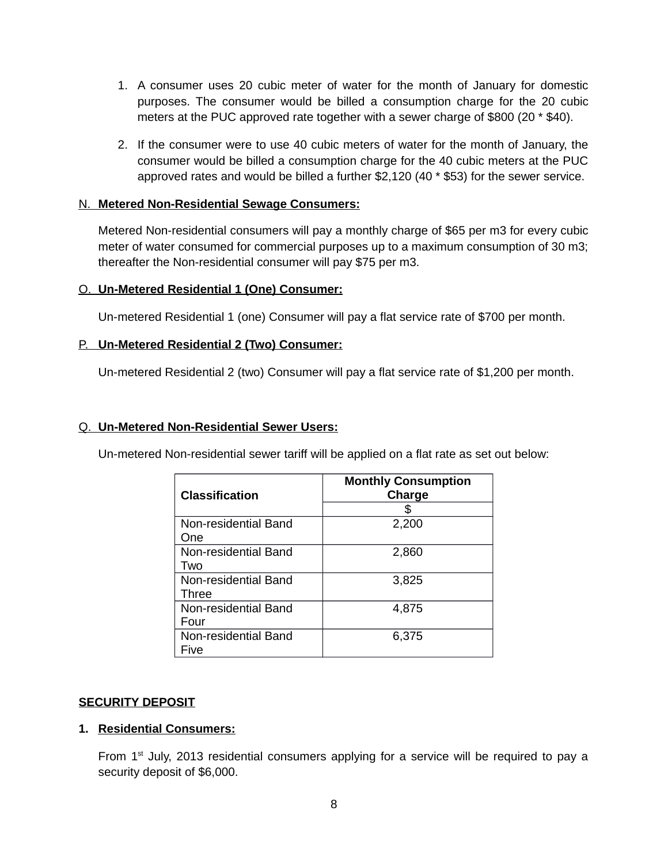- 1. A consumer uses 20 cubic meter of water for the month of January for domestic purposes. The consumer would be billed a consumption charge for the 20 cubic meters at the PUC approved rate together with a sewer charge of \$800 (20 \* \$40).
- 2. If the consumer were to use 40 cubic meters of water for the month of January, the consumer would be billed a consumption charge for the 40 cubic meters at the PUC approved rates and would be billed a further \$2,120 (40 \* \$53) for the sewer service.

### N. **Metered Non-Residential Sewage Consumers:**

Metered Non-residential consumers will pay a monthly charge of \$65 per m3 for every cubic meter of water consumed for commercial purposes up to a maximum consumption of 30 m3; thereafter the Non-residential consumer will pay \$75 per m3.

#### O. **Un-Metered Residential 1 (One) Consumer:**

Un-metered Residential 1 (one) Consumer will pay a flat service rate of \$700 per month.

#### P. **Un-Metered Residential 2 (Two) Consumer:**

Un-metered Residential 2 (two) Consumer will pay a flat service rate of \$1,200 per month.

#### Q. **Un-Metered Non-Residential Sewer Users:**

Un-metered Non-residential sewer tariff will be applied on a flat rate as set out below:

| <b>Classification</b> | <b>Monthly Consumption</b><br>Charge<br>æ. |
|-----------------------|--------------------------------------------|
| Non-residential Band  | 2,200                                      |
| One                   |                                            |
| Non-residential Band  | 2,860                                      |
| Two                   |                                            |
| Non-residential Band  | 3,825                                      |
| <b>Three</b>          |                                            |
| Non-residential Band  | 4,875                                      |
| Four                  |                                            |
| Non-residential Band  | 6,375                                      |
| Five                  |                                            |

#### **SECURITY DEPOSIT**

#### **1. Residential Consumers:**

From  $1<sup>st</sup>$  July, 2013 residential consumers applying for a service will be required to pay a security deposit of \$6,000.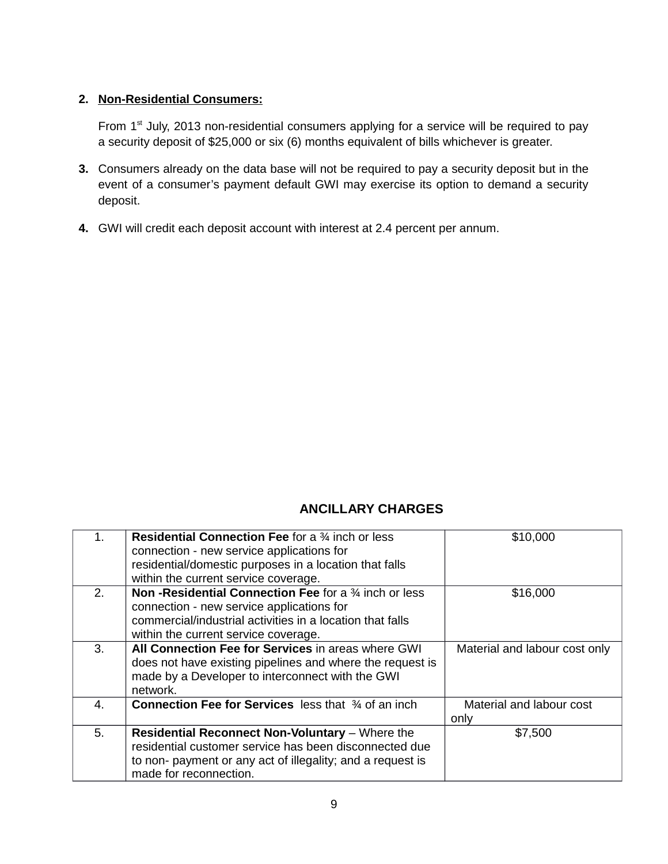### **2. Non-Residential Consumers:**

From 1<sup>st</sup> July, 2013 non-residential consumers applying for a service will be required to pay a security deposit of \$25,000 or six (6) months equivalent of bills whichever is greater.

- **3.** Consumers already on the data base will not be required to pay a security deposit but in the event of a consumer's payment default GWI may exercise its option to demand a security deposit.
- **4.** GWI will credit each deposit account with interest at 2.4 percent per annum.

# **ANCILLARY CHARGES**

| $1_{-}$        | <b>Residential Connection Fee</b> for a $\frac{3}{4}$ inch or less<br>connection - new service applications for<br>residential/domestic purposes in a location that falls<br>within the current service coverage. | \$10,000                         |
|----------------|-------------------------------------------------------------------------------------------------------------------------------------------------------------------------------------------------------------------|----------------------------------|
| 2 <sub>1</sub> | <b>Non-Residential Connection Fee for a 34 inch or less</b><br>connection - new service applications for<br>commercial/industrial activities in a location that falls<br>within the current service coverage.     | \$16,000                         |
| 3.             | All Connection Fee for Services in areas where GWI<br>does not have existing pipelines and where the request is<br>made by a Developer to interconnect with the GWI<br>network.                                   | Material and labour cost only    |
| 4.             | <b>Connection Fee for Services</b> less that 34 of an inch                                                                                                                                                        | Material and labour cost<br>only |
| 5.             | <b>Residential Reconnect Non-Voluntary</b> – Where the<br>residential customer service has been disconnected due<br>to non-payment or any act of illegality; and a request is<br>made for reconnection.           | \$7,500                          |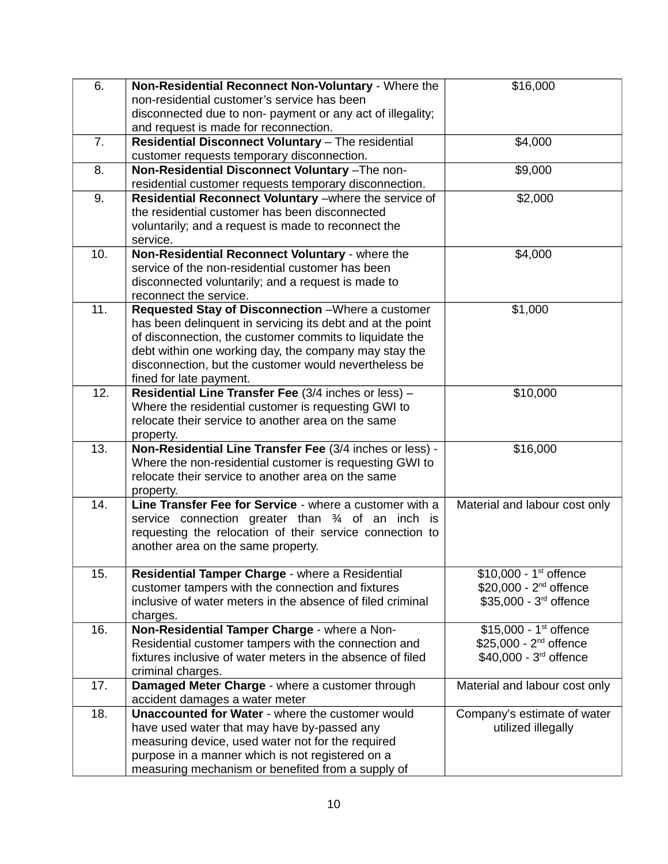| 6.  | Non-Residential Reconnect Non-Voluntary - Where the                                                                 | \$16,000                           |
|-----|---------------------------------------------------------------------------------------------------------------------|------------------------------------|
|     | non-residential customer's service has been                                                                         |                                    |
|     | disconnected due to non- payment or any act of illegality;                                                          |                                    |
|     | and request is made for reconnection.                                                                               |                                    |
| 7.  | Residential Disconnect Voluntary - The residential                                                                  | \$4,000                            |
|     | customer requests temporary disconnection.                                                                          |                                    |
| 8.  | Non-Residential Disconnect Voluntary -The non-                                                                      | \$9,000                            |
|     | residential customer requests temporary disconnection.                                                              |                                    |
| 9.  | Residential Reconnect Voluntary - where the service of                                                              | \$2,000                            |
|     | the residential customer has been disconnected                                                                      |                                    |
|     | voluntarily; and a request is made to reconnect the                                                                 |                                    |
|     | service.                                                                                                            |                                    |
| 10. | Non-Residential Reconnect Voluntary - where the                                                                     | \$4,000                            |
|     | service of the non-residential customer has been                                                                    |                                    |
|     | disconnected voluntarily; and a request is made to                                                                  |                                    |
|     | reconnect the service.                                                                                              |                                    |
| 11. | Requested Stay of Disconnection - Where a customer                                                                  | \$1,000                            |
|     | has been delinquent in servicing its debt and at the point                                                          |                                    |
|     | of disconnection, the customer commits to liquidate the                                                             |                                    |
|     | debt within one working day, the company may stay the                                                               |                                    |
|     | disconnection, but the customer would nevertheless be                                                               |                                    |
|     | fined for late payment.                                                                                             |                                    |
| 12. | Residential Line Transfer Fee (3/4 inches or less) -                                                                | \$10,000                           |
|     | Where the residential customer is requesting GWI to                                                                 |                                    |
|     | relocate their service to another area on the same                                                                  |                                    |
|     | property.                                                                                                           |                                    |
| 13. | Non-Residential Line Transfer Fee (3/4 inches or less) -<br>Where the non-residential customer is requesting GWI to | \$16,000                           |
|     | relocate their service to another area on the same                                                                  |                                    |
|     | property.                                                                                                           |                                    |
| 14. | Line Transfer Fee for Service - where a customer with a                                                             | Material and labour cost only      |
|     | service connection greater than 34 of an inch is                                                                    |                                    |
|     | requesting the relocation of their service connection to                                                            |                                    |
|     | another area on the same property.                                                                                  |                                    |
|     |                                                                                                                     |                                    |
| 15. | Residential Tamper Charge - where a Residential                                                                     | $$10,000 - 1st$ offence            |
|     | customer tampers with the connection and fixtures                                                                   | \$20,000 - 2 <sup>nd</sup> offence |
|     | inclusive of water meters in the absence of filed criminal                                                          | \$35,000 - 3rd offence             |
|     | charges.                                                                                                            |                                    |
| 16. | Non-Residential Tamper Charge - where a Non-                                                                        | \$15,000 - $1^{st}$ offence        |
|     | Residential customer tampers with the connection and                                                                | \$25,000 - $2^{nd}$ offence        |
|     | fixtures inclusive of water meters in the absence of filed                                                          | \$40,000 - 3rd offence             |
|     | criminal charges.                                                                                                   |                                    |
| 17. | Damaged Meter Charge - where a customer through                                                                     | Material and labour cost only      |
|     | accident damages a water meter                                                                                      |                                    |
| 18. | <b>Unaccounted for Water - where the customer would</b>                                                             | Company's estimate of water        |
|     | have used water that may have by-passed any                                                                         | utilized illegally                 |
|     | measuring device, used water not for the required                                                                   |                                    |
|     | purpose in a manner which is not registered on a                                                                    |                                    |
|     | measuring mechanism or benefited from a supply of                                                                   |                                    |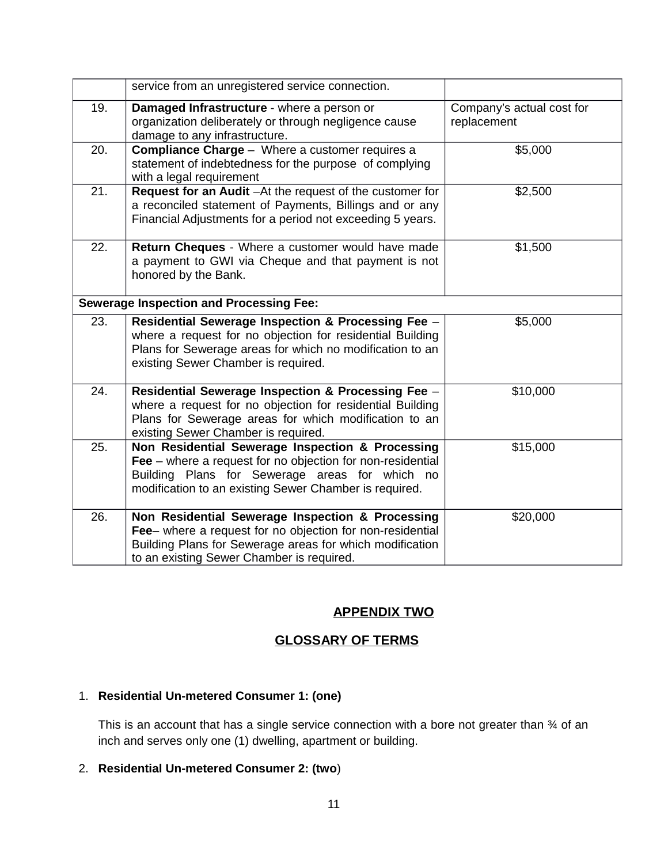|     | service from an unregistered service connection.                                                                                                                                                                             |                                          |
|-----|------------------------------------------------------------------------------------------------------------------------------------------------------------------------------------------------------------------------------|------------------------------------------|
| 19. | Damaged Infrastructure - where a person or<br>organization deliberately or through negligence cause<br>damage to any infrastructure.                                                                                         | Company's actual cost for<br>replacement |
| 20. | <b>Compliance Charge - Where a customer requires a</b><br>statement of indebtedness for the purpose of complying<br>with a legal requirement                                                                                 | \$5,000                                  |
| 21. | Request for an Audit - At the request of the customer for<br>a reconciled statement of Payments, Billings and or any<br>Financial Adjustments for a period not exceeding 5 years.                                            | \$2,500                                  |
| 22. | Return Cheques - Where a customer would have made<br>a payment to GWI via Cheque and that payment is not<br>honored by the Bank.                                                                                             | \$1,500                                  |
|     | <b>Sewerage Inspection and Processing Fee:</b>                                                                                                                                                                               |                                          |
| 23. | Residential Sewerage Inspection & Processing Fee -<br>where a request for no objection for residential Building<br>Plans for Sewerage areas for which no modification to an<br>existing Sewer Chamber is required.           | \$5,000                                  |
| 24. | Residential Sewerage Inspection & Processing Fee -<br>where a request for no objection for residential Building<br>Plans for Sewerage areas for which modification to an<br>existing Sewer Chamber is required.              | \$10,000                                 |
| 25. | Non Residential Sewerage Inspection & Processing<br>Fee $-$ where a request for no objection for non-residential<br>Building Plans for Sewerage areas for which no<br>modification to an existing Sewer Chamber is required. | \$15,000                                 |
| 26. | Non Residential Sewerage Inspection & Processing<br>Fee- where a request for no objection for non-residential<br>Building Plans for Sewerage areas for which modification<br>to an existing Sewer Chamber is required.       | \$20,000                                 |

## **APPENDIX TWO**

# **GLOSSARY OF TERMS**

## 1. **Residential Un-metered Consumer 1: (one)**

This is an account that has a single service connection with a bore not greater than 34 of an inch and serves only one (1) dwelling, apartment or building.

## 2. **Residential Un-metered Consumer 2: (two**)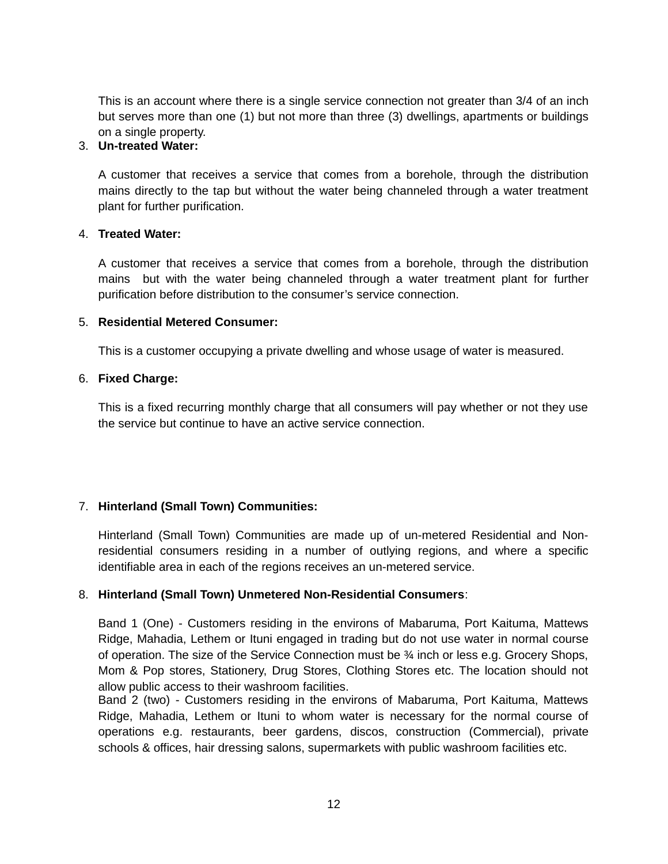This is an account where there is a single service connection not greater than 3/4 of an inch but serves more than one (1) but not more than three (3) dwellings, apartments or buildings on a single property.

### 3. **Un-treated Water:**

A customer that receives a service that comes from a borehole, through the distribution mains directly to the tap but without the water being channeled through a water treatment plant for further purification.

#### 4. **Treated Water:**

A customer that receives a service that comes from a borehole, through the distribution mains but with the water being channeled through a water treatment plant for further purification before distribution to the consumer's service connection.

#### 5. **Residential Metered Consumer:**

This is a customer occupying a private dwelling and whose usage of water is measured.

#### 6. **Fixed Charge:**

This is a fixed recurring monthly charge that all consumers will pay whether or not they use the service but continue to have an active service connection.

### 7. **Hinterland (Small Town) Communities:**

Hinterland (Small Town) Communities are made up of un-metered Residential and Nonresidential consumers residing in a number of outlying regions, and where a specific identifiable area in each of the regions receives an un-metered service.

### 8. **Hinterland (Small Town) Unmetered Non-Residential Consumers**:

Band 1 (One) - Customers residing in the environs of Mabaruma, Port Kaituma, Mattews Ridge, Mahadia, Lethem or Ituni engaged in trading but do not use water in normal course of operation. The size of the Service Connection must be ¾ inch or less e.g. Grocery Shops, Mom & Pop stores, Stationery, Drug Stores, Clothing Stores etc. The location should not allow public access to their washroom facilities.

Band 2 (two) - Customers residing in the environs of Mabaruma, Port Kaituma, Mattews Ridge, Mahadia, Lethem or Ituni to whom water is necessary for the normal course of operations e.g. restaurants, beer gardens, discos, construction (Commercial), private schools & offices, hair dressing salons, supermarkets with public washroom facilities etc.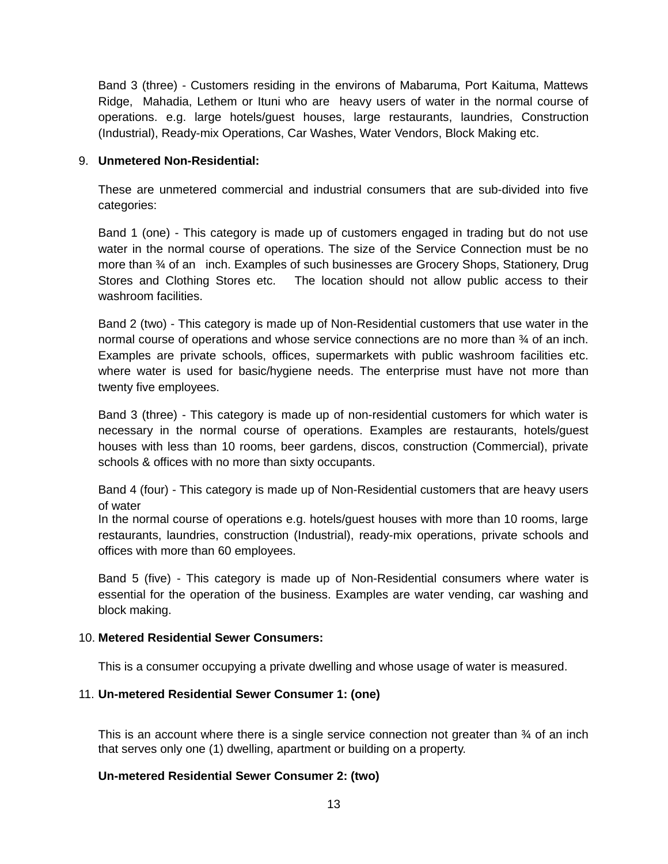Band 3 (three) - Customers residing in the environs of Mabaruma, Port Kaituma, Mattews Ridge, Mahadia, Lethem or Ituni who are heavy users of water in the normal course of operations. e.g. large hotels/guest houses, large restaurants, laundries, Construction (Industrial), Ready-mix Operations, Car Washes, Water Vendors, Block Making etc.

### 9. **Unmetered Non-Residential:**

These are unmetered commercial and industrial consumers that are sub-divided into five categories:

Band 1 (one) - This category is made up of customers engaged in trading but do not use water in the normal course of operations. The size of the Service Connection must be no more than ¾ of an inch. Examples of such businesses are Grocery Shops, Stationery, Drug Stores and Clothing Stores etc. The location should not allow public access to their washroom facilities.

Band 2 (two) - This category is made up of Non-Residential customers that use water in the normal course of operations and whose service connections are no more than ¾ of an inch. Examples are private schools, offices, supermarkets with public washroom facilities etc. where water is used for basic/hygiene needs. The enterprise must have not more than twenty five employees.

Band 3 (three) - This category is made up of non-residential customers for which water is necessary in the normal course of operations. Examples are restaurants, hotels/guest houses with less than 10 rooms, beer gardens, discos, construction (Commercial), private schools & offices with no more than sixty occupants.

Band 4 (four) - This category is made up of Non-Residential customers that are heavy users of water

In the normal course of operations e.g. hotels/guest houses with more than 10 rooms, large restaurants, laundries, construction (Industrial), ready-mix operations, private schools and offices with more than 60 employees.

Band 5 (five) - This category is made up of Non-Residential consumers where water is essential for the operation of the business. Examples are water vending, car washing and block making.

### 10. **Metered Residential Sewer Consumers:**

This is a consumer occupying a private dwelling and whose usage of water is measured.

#### 11. **Un-metered Residential Sewer Consumer 1: (one)**

This is an account where there is a single service connection not greater than ¾ of an inch that serves only one (1) dwelling, apartment or building on a property.

### **Un-metered Residential Sewer Consumer 2: (two)**